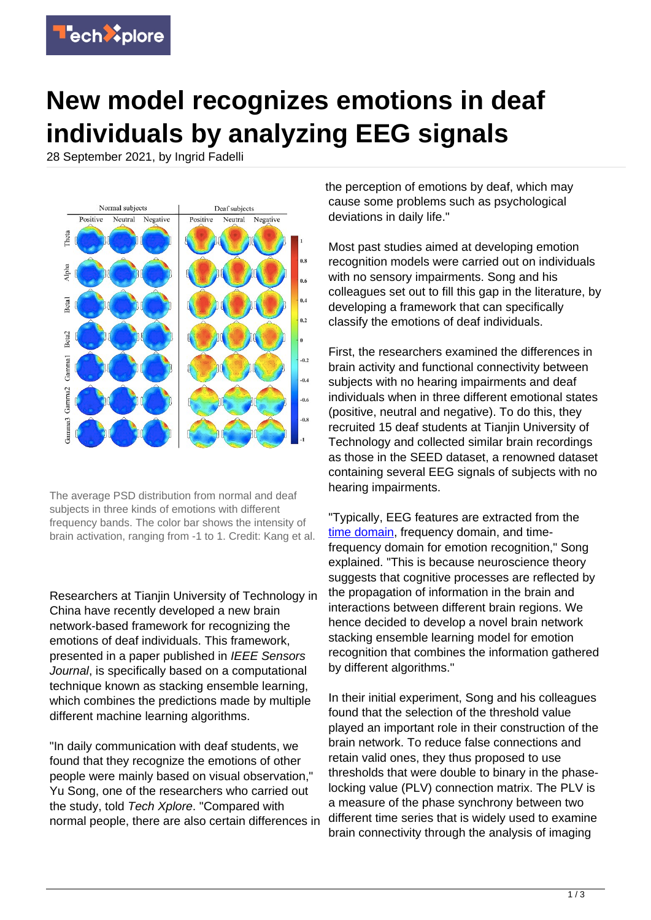

## **New model recognizes emotions in deaf individuals by analyzing EEG signals**

28 September 2021, by Ingrid Fadelli



The average PSD distribution from normal and deaf subjects in three kinds of emotions with different frequency bands. The color bar shows the intensity of brain activation, ranging from -1 to 1. Credit: Kang et al.

Researchers at Tianjin University of Technology in China have recently developed a new brain network-based framework for recognizing the emotions of deaf individuals. This framework, presented in a paper published in IEEE Sensors Journal, is specifically based on a computational technique known as stacking ensemble learning, which combines the predictions made by multiple different machine learning algorithms.

"In daily communication with deaf students, we found that they recognize the emotions of other people were mainly based on visual observation," Yu Song, one of the researchers who carried out the study, told Tech Xplore. "Compared with normal people, there are also certain differences in

the perception of emotions by deaf, which may cause some problems such as psychological deviations in daily life."

Most past studies aimed at developing emotion recognition models were carried out on individuals with no sensory impairments. Song and his colleagues set out to fill this gap in the literature, by developing a framework that can specifically classify the emotions of deaf individuals.

First, the researchers examined the differences in brain activity and functional connectivity between subjects with no hearing impairments and deaf individuals when in three different emotional states (positive, neutral and negative). To do this, they recruited 15 deaf students at Tianjin University of Technology and collected similar brain recordings as those in the SEED dataset, a renowned dataset containing several EEG signals of subjects with no hearing impairments.

"Typically, EEG features are extracted from the [time domain](https://techxplore.com/tags/time+domain/), frequency domain, and timefrequency domain for emotion recognition," Song explained. "This is because neuroscience theory suggests that cognitive processes are reflected by the propagation of information in the brain and interactions between different brain regions. We hence decided to develop a novel brain network stacking ensemble learning model for emotion recognition that combines the information gathered by different algorithms."

In their initial experiment, Song and his colleagues found that the selection of the threshold value played an important role in their construction of the brain network. To reduce false connections and retain valid ones, they thus proposed to use thresholds that were double to binary in the phaselocking value (PLV) connection matrix. The PLV is a measure of the phase synchrony between two different time series that is widely used to examine brain connectivity through the analysis of imaging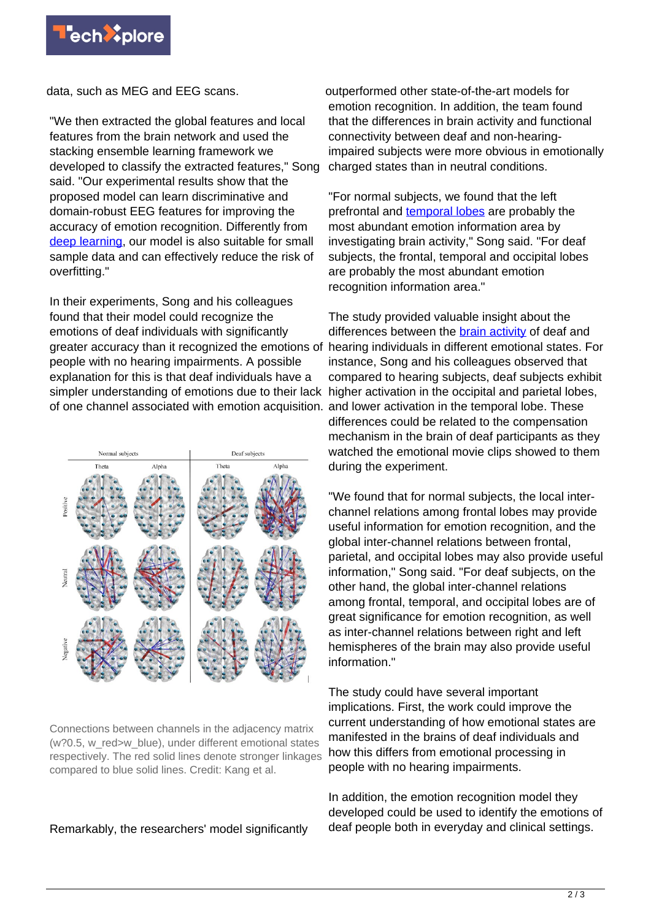

data, such as MEG and EEG scans.

"We then extracted the global features and local features from the brain network and used the stacking ensemble learning framework we developed to classify the extracted features," Song said. "Our experimental results show that the proposed model can learn discriminative and domain-robust EEG features for improving the accuracy of emotion recognition. Differently from [deep learning](https://techxplore.com/tags/deep+learning/), our model is also suitable for small sample data and can effectively reduce the risk of overfitting."

In their experiments, Song and his colleagues found that their model could recognize the emotions of deaf individuals with significantly greater accuracy than it recognized the emotions of people with no hearing impairments. A possible explanation for this is that deaf individuals have a simpler understanding of emotions due to their lack higher activation in the occipital and parietal lobes, of one channel associated with emotion acquisition. and lower activation in the temporal lobe. These



Connections between channels in the adjacency matrix (w?0.5, w\_red>w\_blue), under different emotional states respectively. The red solid lines denote stronger linkages compared to blue solid lines. Credit: Kang et al.

Remarkably, the researchers' model significantly

outperformed other state-of-the-art models for emotion recognition. In addition, the team found that the differences in brain activity and functional connectivity between deaf and non-hearingimpaired subjects were more obvious in emotionally charged states than in neutral conditions.

"For normal subjects, we found that the left prefrontal and [temporal lobes](https://techxplore.com/tags/temporal+lobes/) are probably the most abundant emotion information area by investigating brain activity," Song said. "For deaf subjects, the frontal, temporal and occipital lobes are probably the most abundant emotion recognition information area."

The study provided valuable insight about the differences between the **brain activity** of deaf and hearing individuals in different emotional states. For instance, Song and his colleagues observed that compared to hearing subjects, deaf subjects exhibit differences could be related to the compensation mechanism in the brain of deaf participants as they watched the emotional movie clips showed to them during the experiment.

"We found that for normal subjects, the local interchannel relations among frontal lobes may provide useful information for emotion recognition, and the global inter-channel relations between frontal, parietal, and occipital lobes may also provide useful information," Song said. "For deaf subjects, on the other hand, the global inter-channel relations among frontal, temporal, and occipital lobes are of great significance for emotion recognition, as well as inter-channel relations between right and left hemispheres of the brain may also provide useful information."

The study could have several important implications. First, the work could improve the current understanding of how emotional states are manifested in the brains of deaf individuals and how this differs from emotional processing in people with no hearing impairments.

In addition, the emotion recognition model they developed could be used to identify the emotions of deaf people both in everyday and clinical settings.